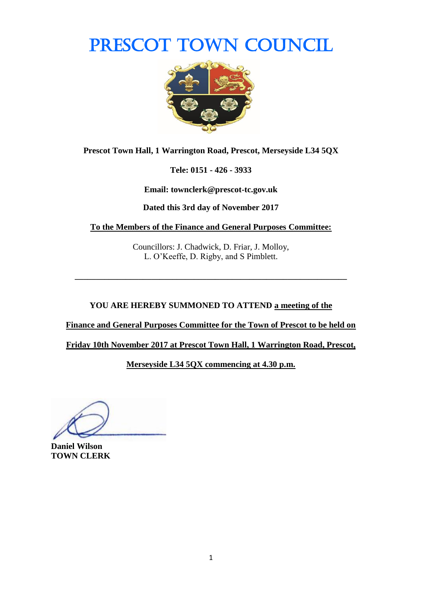# PRESCOT TOWN COUNCIL



**Prescot Town Hall, 1 Warrington Road, Prescot, Merseyside L34 5QX**

**Tele: 0151 - 426 - 3933**

**Email: townclerk@prescot-tc.gov.uk**

**Dated this 3rd day of November 2017**

**To the Members of the Finance and General Purposes Committee:**

Councillors: J. Chadwick, D. Friar, J. Molloy, L. O'Keeffe, D. Rigby, and S Pimblett.

**\_\_\_\_\_\_\_\_\_\_\_\_\_\_\_\_\_\_\_\_\_\_\_\_\_\_\_\_\_\_\_\_\_\_\_\_\_\_\_\_\_\_\_\_\_\_\_\_\_\_\_\_\_\_\_\_\_\_\_\_\_\_\_\_**

**YOU ARE HEREBY SUMMONED TO ATTEND a meeting of the** 

**Finance and General Purposes Committee for the Town of Prescot to be held on** 

**Friday 10th November 2017 at Prescot Town Hall, 1 Warrington Road, Prescot,** 

**Merseyside L34 5QX commencing at 4.30 p.m.**

**Daniel Wilson TOWN CLERK**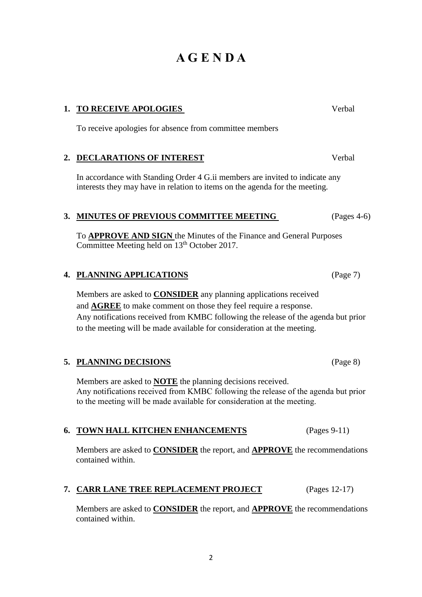# **A G E N D A**

# **1. TO RECEIVE APOLOGIES** Verbal

To receive apologies for absence from committee members

### **2. DECLARATIONS OF INTEREST** Verbal

In accordance with Standing Order 4 G.ii members are invited to indicate any interests they may have in relation to items on the agenda for the meeting.

### **3. MINUTES OF PREVIOUS COMMITTEE MEETING** (Pages 4-6)

To **APPROVE AND SIGN** the Minutes of the Finance and General Purposes Committee Meeting held on 13<sup>th</sup> October 2017.

# **4. PLANNING APPLICATIONS** (Page 7)

Members are asked to **CONSIDER** any planning applications received and **AGREE** to make comment on those they feel require a response. Any notifications received from KMBC following the release of the agenda but prior to the meeting will be made available for consideration at the meeting.

#### **5. PLANNING DECISIONS** (Page 8)

Members are asked to **NOTE** the planning decisions received. Any notifications received from KMBC following the release of the agenda but prior to the meeting will be made available for consideration at the meeting.

#### **6. TOWN HALL KITCHEN ENHANCEMENTS** (Pages 9-11)

Members are asked to **CONSIDER** the report, and **APPROVE** the recommendations contained within.

#### **7. CARR LANE TREE REPLACEMENT PROJECT** (Pages 12-17)

2

Members are asked to **CONSIDER** the report, and **APPROVE** the recommendations contained within.